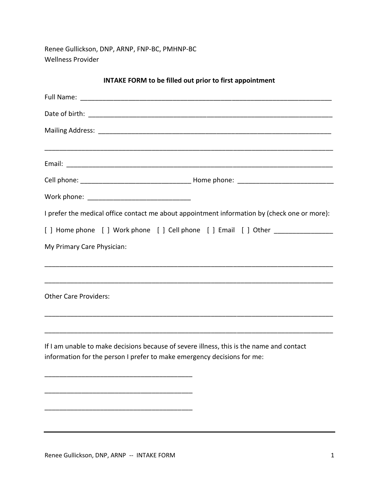Renee Gullickson, DNP, ARNP, FNP-BC, PMHNP-BC Wellness Provider

| <b>INTAKE FORM to be filled out prior to first appointment</b>                                                                                                      |
|---------------------------------------------------------------------------------------------------------------------------------------------------------------------|
|                                                                                                                                                                     |
|                                                                                                                                                                     |
|                                                                                                                                                                     |
|                                                                                                                                                                     |
|                                                                                                                                                                     |
|                                                                                                                                                                     |
| I prefer the medical office contact me about appointment information by (check one or more):                                                                        |
| [] Home phone [] Work phone [] Cell phone [] Email [] Other _______________                                                                                         |
| My Primary Care Physician:                                                                                                                                          |
| <u> 1980 - Jan Barnett, fransk politik (d. 1980)</u><br><b>Other Care Providers:</b>                                                                                |
| If I am unable to make decisions because of severe illness, this is the name and contact<br>information for the person I prefer to make emergency decisions for me: |
|                                                                                                                                                                     |